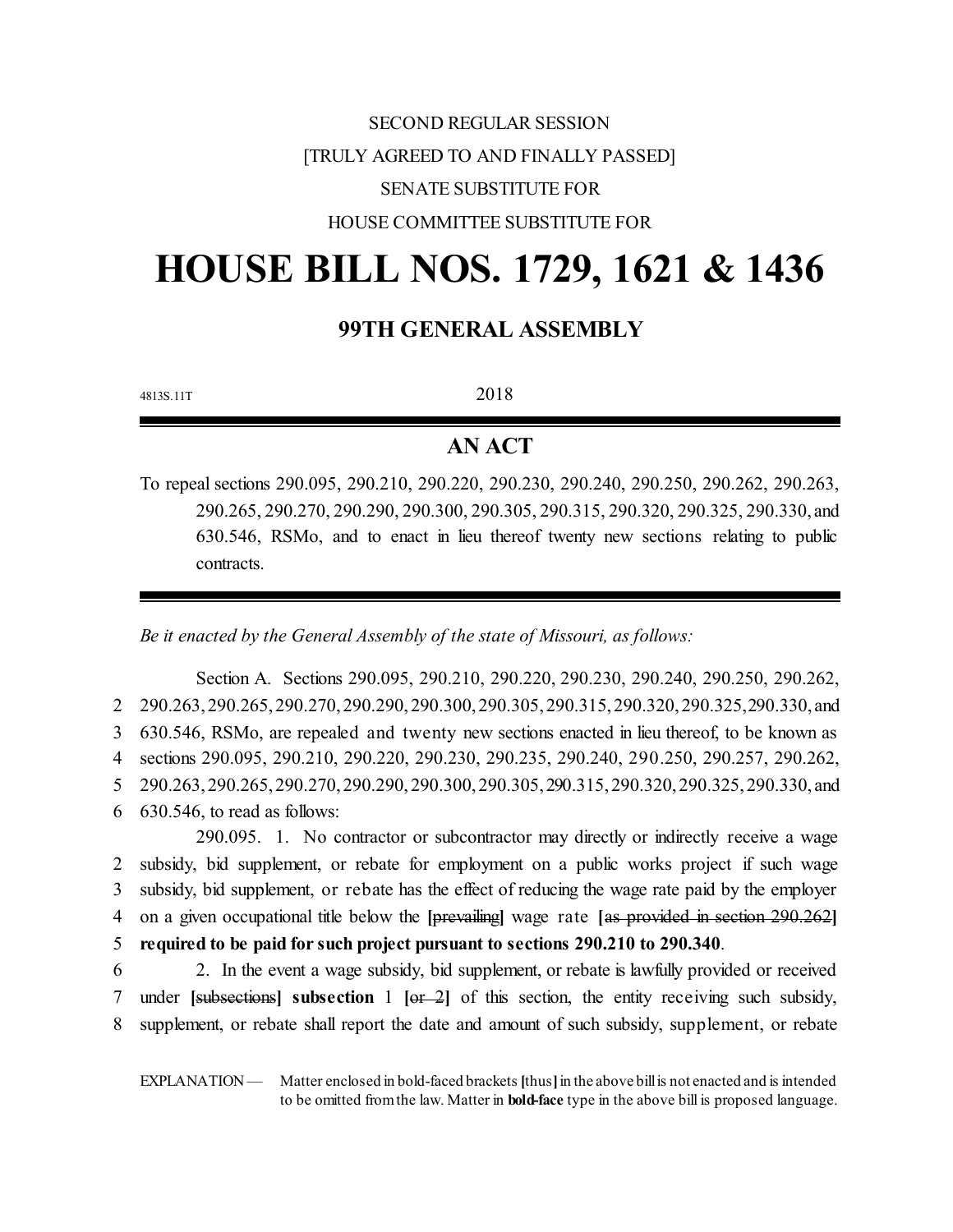# SECOND REGULAR SESSION [TRULY AGREED TO AND FINALLY PASSED] SENATE SUBSTITUTE FOR HOUSE COMMITTEE SUBSTITUTE FOR

# **HOUSE BILL NOS. 1729, 1621 & 1436**

## **99TH GENERAL ASSEMBLY**

4813S.11T 2018

# **AN ACT**

To repeal sections 290.095, 290.210, 290.220, 290.230, 290.240, 290.250, 290.262, 290.263, 290.265, 290.270, 290.290, 290.300, 290.305, 290.315, 290.320, 290.325, 290.330, and 630.546, RSMo, and to enact in lieu thereof twenty new sections relating to public contracts.

*Be it enacted by the General Assembly of the state of Missouri, as follows:*

Section A. Sections 290.095, 290.210, 290.220, 290.230, 290.240, 290.250, 290.262, 290.263, 290.265, 290.270, 290.290, 290.300, 290.305, 290.315, 290.320, 290.325,290.330, and 630.546, RSMo, are repealed and twenty new sections enacted in lieu thereof, to be known as sections 290.095, 290.210, 290.220, 290.230, 290.235, 290.240, 290.250, 290.257, 290.262, 290.263, 290.265, 290.270, 290.290, 290.300, 290.305, 290.315, 290.320, 290.325, 290.330, and 630.546, to read as follows:

290.095. 1. No contractor or subcontractor may directly or indirectly receive a wage subsidy, bid supplement, or rebate for employment on a public works project if such wage subsidy, bid supplement, or rebate has the effect of reducing the wage rate paid by the employer on a given occupational title below the **[**prevailing**]** wage rate **[**as provided in section 290.262**] required to be paid for such project pursuant to sections 290.210 to 290.340**.

6 2. In the event a wage subsidy, bid supplement, or rebate is lawfully provided or received 7 under **[**subsections**] subsection** 1 **[**or 2**]** of this section, the entity receiving such subsidy, 8 supplement, or rebate shall report the date and amount of such subsidy, supplement, or rebate

EXPLANATION — Matter enclosed in bold-faced brackets **[**thus**]**in the above billis not enacted and is intended to be omitted fromthe law. Matter in **bold-face** type in the above bill is proposed language.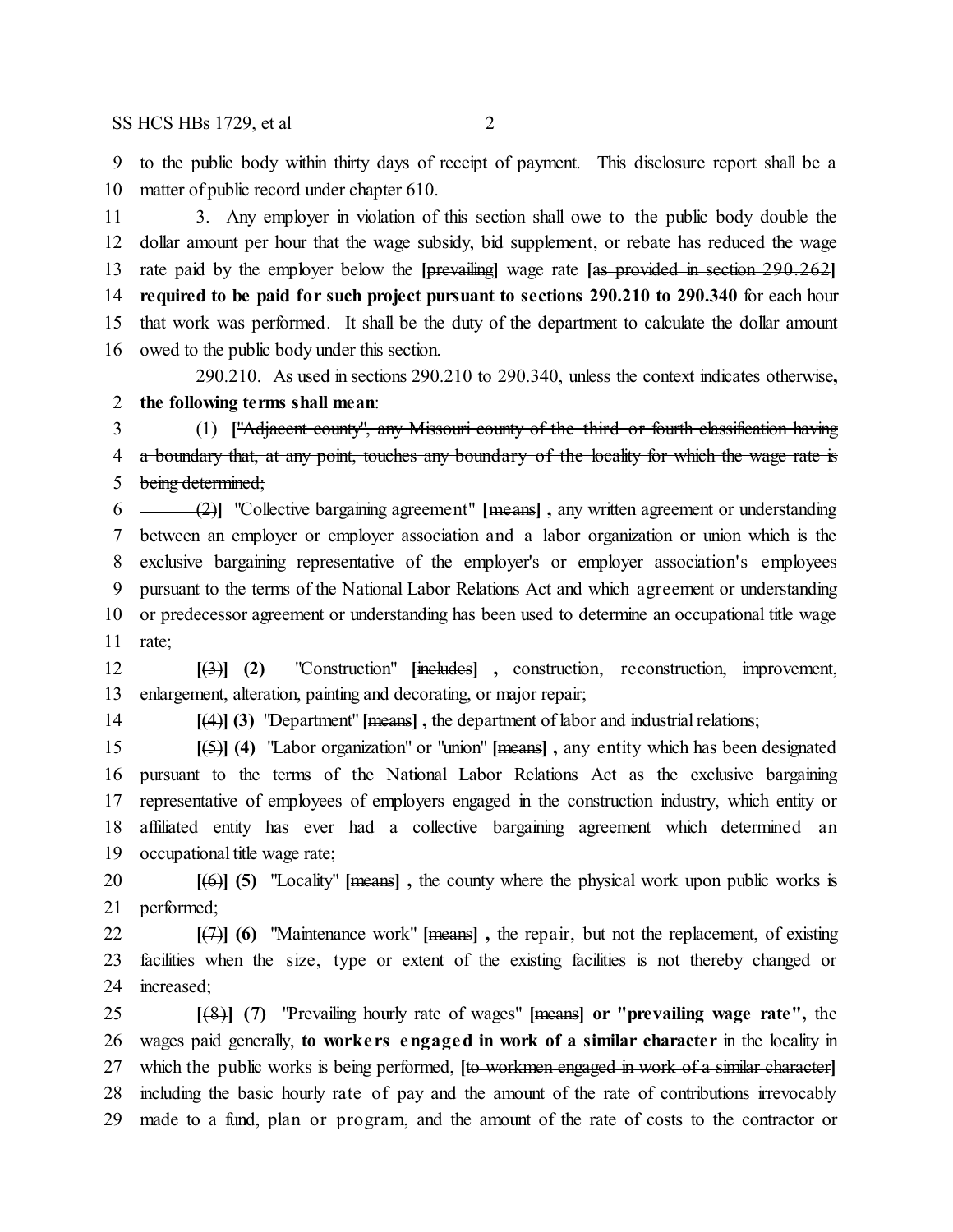to the public body within thirty days of receipt of payment. This disclosure report shall be a matter of public record under chapter 610.

 3. Any employer in violation of this section shall owe to the public body double the dollar amount per hour that the wage subsidy, bid supplement, or rebate has reduced the wage rate paid by the employer below the **[**prevailing**]** wage rate **[**as provided in section 290.262**] required to be paid for such project pursuant to sections 290.210 to 290.340** for each hour that work was performed. It shall be the duty of the department to calculate the dollar amount owed to the public body under this section.

290.210. As used in sections 290.210 to 290.340, unless the context indicates otherwise**, the following terms shall mean**:

 (1) **[**"Adjacent county", any Missouri county of the third or fourth classification having 4 a boundary that, at any point, touches any boundary of the locality for which the wage rate is being determined;

 (2)**]** "Collective bargaining agreement" **[**means**] ,** any written agreement or understanding between an employer or employer association and a labor organization or union which is the exclusive bargaining representative of the employer's or employer association's employees pursuant to the terms of the National Labor Relations Act and which agreement or understanding or predecessor agreement or understanding has been used to determine an occupational title wage rate;

 **[**(3)**] (2)** "Construction" **[**includes**] ,** construction, reconstruction, improvement, enlargement, alteration, painting and decorating, or major repair;

**[**(4)**] (3)** "Department" **[**means**] ,** the department of labor and industrial relations;

 **[**(5)**] (4)** "Labor organization" or "union" **[**means**] ,** any entity which has been designated pursuant to the terms of the National Labor Relations Act as the exclusive bargaining representative of employees of employers engaged in the construction industry, which entity or affiliated entity has ever had a collective bargaining agreement which determined an occupational title wage rate;

 **[**(6)**] (5)** "Locality" **[**means**] ,** the county where the physical work upon public works is performed;

 **[**(7)**] (6)** "Maintenance work" **[**means**] ,** the repair, but not the replacement, of existing facilities when the size, type or extent of the existing facilities is not thereby changed or increased;

 **[**(8)**] (7)** "Prevailing hourly rate of wages" **[**means**] or "prevailing wage rate",** the wages paid generally, **to worke rs engaged in work of a similar character** in the locality in which the public works is being performed, **[**to workmen engaged in work of a similar character**]** including the basic hourly rate of pay and the amount of the rate of contributions irrevocably made to a fund, plan or program, and the amount of the rate of costs to the contractor or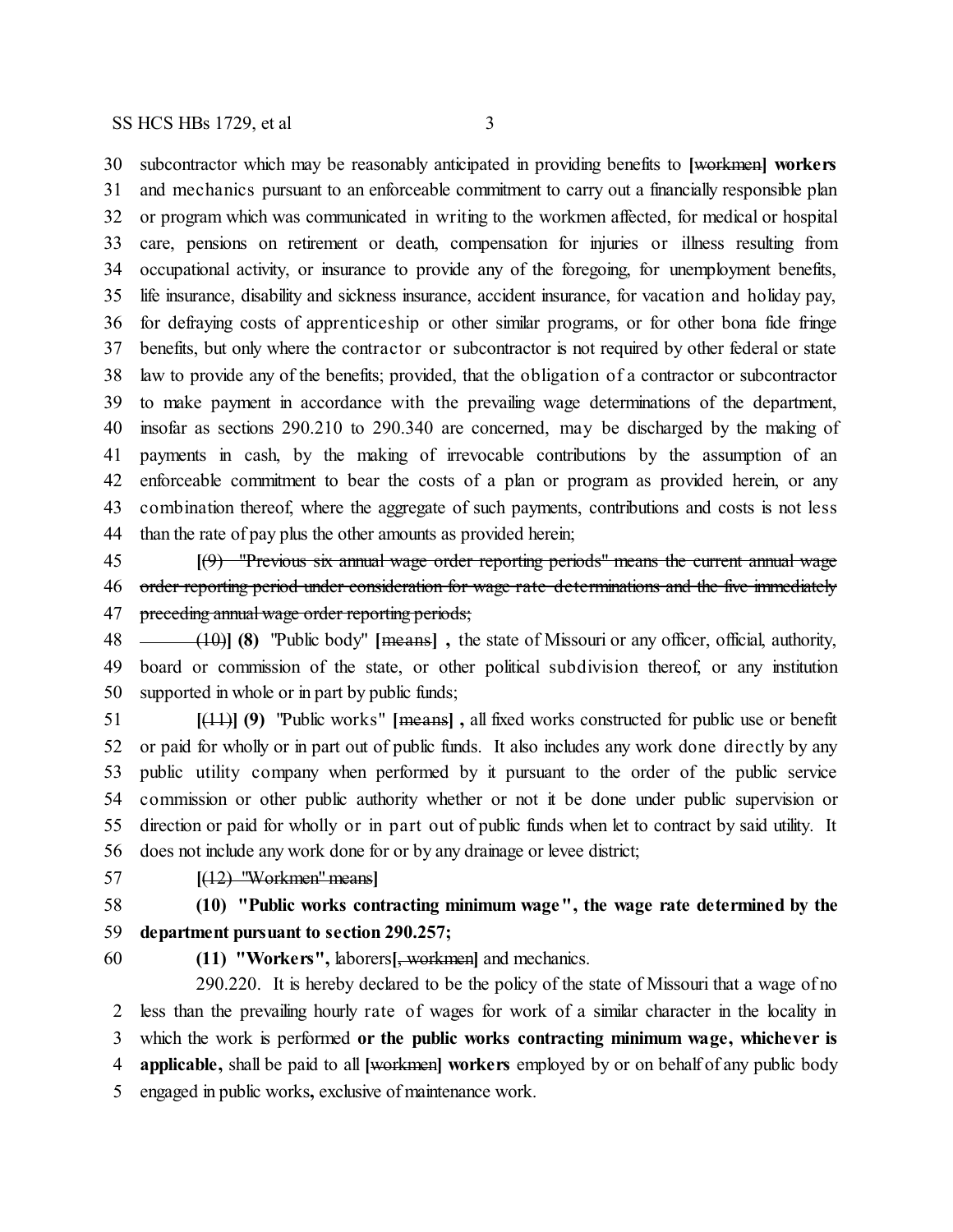subcontractor which may be reasonably anticipated in providing benefits to **[**workmen**] workers** and mechanics pursuant to an enforceable commitment to carry out a financially responsible plan or program which was communicated in writing to the workmen affected, for medical or hospital care, pensions on retirement or death, compensation for injuries or illness resulting from occupational activity, or insurance to provide any of the foregoing, for unemployment benefits, life insurance, disability and sickness insurance, accident insurance, for vacation and holiday pay, for defraying costs of apprenticeship or other similar programs, or for other bona fide fringe benefits, but only where the contractor or subcontractor is not required by other federal or state law to provide any of the benefits; provided, that the obligation of a contractor or subcontractor to make payment in accordance with the prevailing wage determinations of the department, insofar as sections 290.210 to 290.340 are concerned, may be discharged by the making of payments in cash, by the making of irrevocable contributions by the assumption of an enforceable commitment to bear the costs of a plan or program as provided herein, or any combination thereof, where the aggregate of such payments, contributions and costs is not less than the rate of pay plus the other amounts as provided herein;

 **[**(9) "Previous six annual wage order reporting periods" means the current annual wage 46 order reporting period under consideration for wage rate determinations and the five immediately preceding annual wage order reporting periods;

 (10)**] (8)** "Public body" **[**means**] ,** the state of Missouri or any officer, official, authority, board or commission of the state, or other political subdivision thereof, or any institution supported in whole or in part by public funds;

 **[**(11)**] (9)** "Public works" **[**means**] ,** all fixed works constructed for public use or benefit or paid for wholly or in part out of public funds. It also includes any work done directly by any public utility company when performed by it pursuant to the order of the public service commission or other public authority whether or not it be done under public supervision or direction or paid for wholly or in part out of public funds when let to contract by said utility. It does not include any work done for or by any drainage or levee district;

**[**(12) "Workmen" means**]**

 **(10) "Public works contracting minimum wage", the wage rate determined by the department pursuant to section 290.257;**

**(11) "Workers",** laborers**[**, workmen**]** and mechanics.

290.220. It is hereby declared to be the policy of the state of Missouri that a wage of no less than the prevailing hourly rate of wages for work of a similar character in the locality in which the work is performed **or the public works contracting minimum wage, whichever is applicable,** shall be paid to all **[**workmen**] workers** employed by or on behalf of any public body engaged in public works**,** exclusive of maintenance work.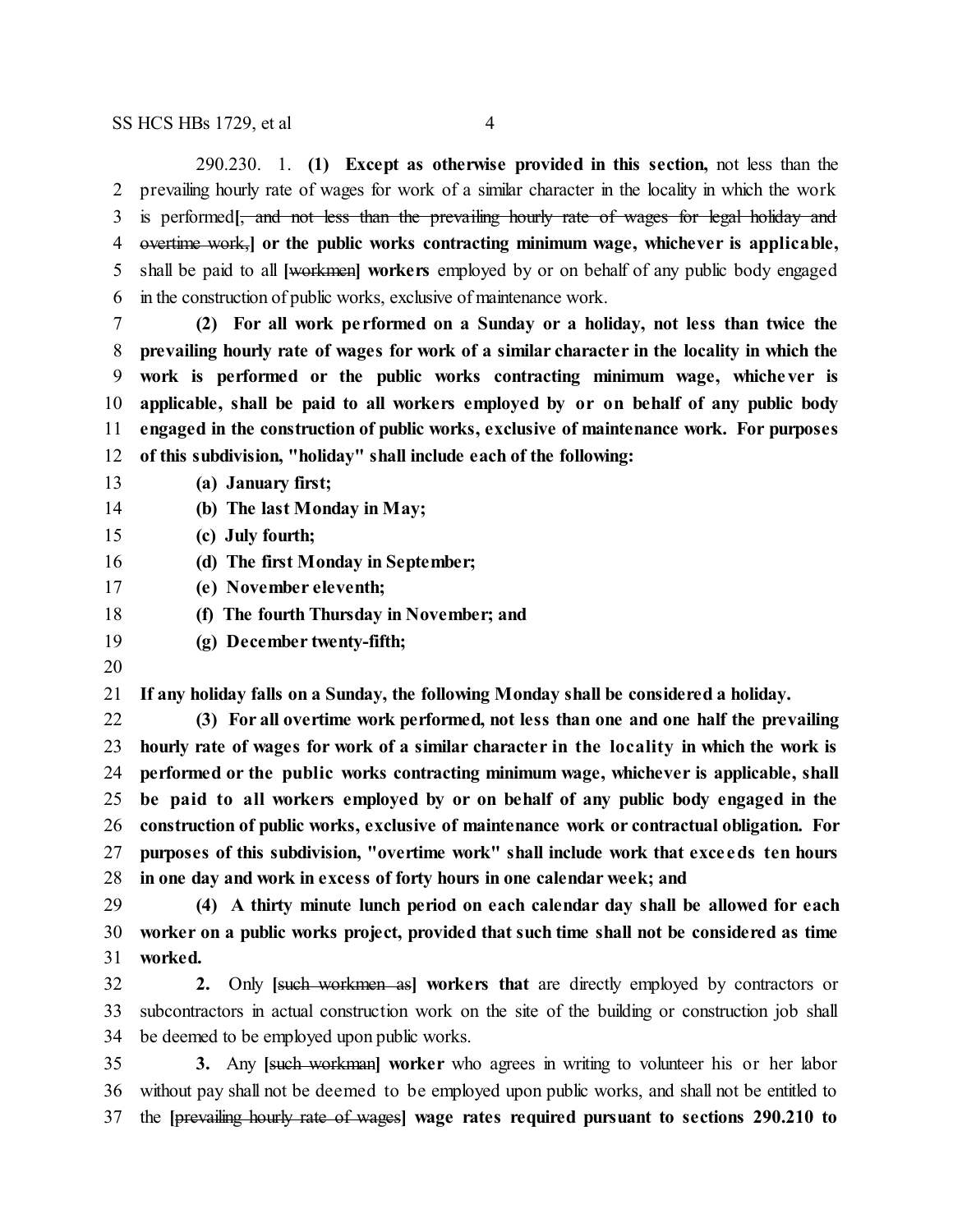290.230. 1. **(1) Except as otherwise provided in this section,** not less than the prevailing hourly rate of wages for work of a similar character in the locality in which the work is performed**[**, and not less than the prevailing hourly rate of wages for legal holiday and overtime work,**] or the public works contracting minimum wage, whichever is applicable,** shall be paid to all **[**workmen**] workers** employed by or on behalf of any public body engaged in the construction of public works, exclusive of maintenance work.

 **(2) For all work pe rformed on a Sunday or a holiday, not less than twice the prevailing hourly rate of wages for work of a similar character in the locality in which the work is performed or the public works contracting minimum wage, whichever is applicable, shall be paid to all workers employed by or on behalf of any public body engaged in the construction of public works, exclusive of maintenance work. For purposes of this subdivision, "holiday" shall include each of the following:**

**(a) January first;**

- **(b) The last Monday in May;**
- **(c) July fourth;**
- **(d) The first Monday in September;**
- **(e) November eleventh;**
- **(f) The fourth Thursday in November; and**
- **(g) December twenty-fifth;**
- 

**If any holiday falls on a Sunday, the following Monday shall be considered a holiday.**

 **(3) For all overtime work performed, not less than one and one half the prevailing hourly rate of wages for work of a similar character in the locality in which the work is performed or the public works contracting minimum wage, whichever is applicable, shall be paid to all workers employed by or on behalf of any public body engaged in the construction of public works, exclusive of maintenance work or contractual obligation. For purposes of this subdivision, "overtime work" shall include work that exce eds ten hours in one day and work in excess of forty hours in one calendar week; and**

 **(4) A thirty minute lunch period on each calendar day shall be allowed for each worker on a public works project, provided that such time shall not be considered as time worked.**

 **2.** Only **[**such workmen as**] workers that** are directly employed by contractors or subcontractors in actual construction work on the site of the building or construction job shall be deemed to be employed upon public works.

 **3.** Any **[**such workman**] worker** who agrees in writing to volunteer his or her labor without pay shall not be deemed to be employed upon public works, and shall not be entitled to the **[**prevailing hourly rate of wages**] wage rates required pursuant to sections 290.210 to**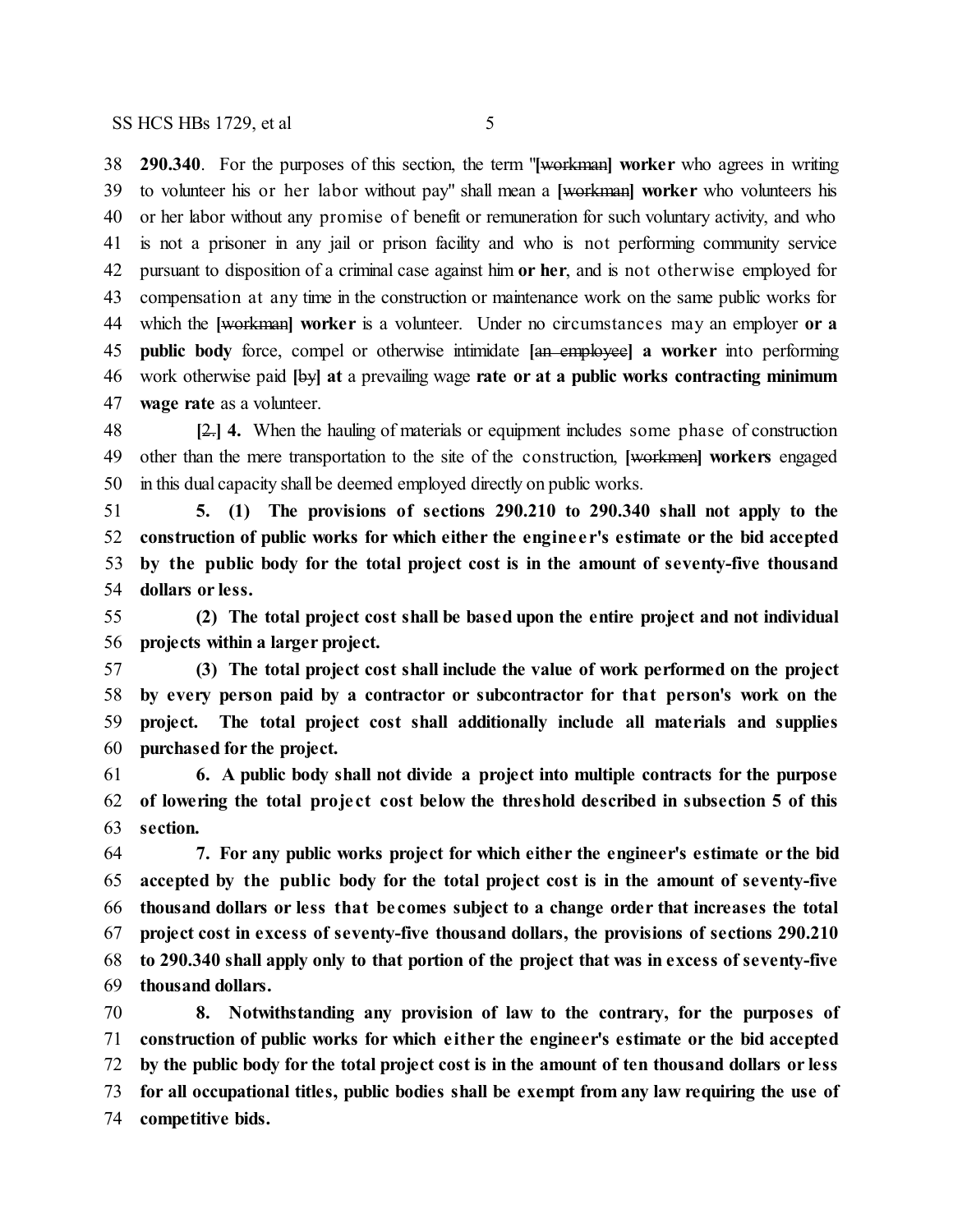**290.340**. For the purposes of this section, the term "**[**workman**] worker** who agrees in writing to volunteer his or her labor without pay" shall mean a **[**workman**] worker** who volunteers his or her labor without any promise of benefit or remuneration for such voluntary activity, and who is not a prisoner in any jail or prison facility and who is not performing community service pursuant to disposition of a criminal case against him **or her**, and is not otherwise employed for compensation at any time in the construction or maintenance work on the same public works for which the **[**workman**] worker** is a volunteer. Under no circumstances may an employer **or a public body** force, compel or otherwise intimidate **[**an employee**] a worker** into performing work otherwise paid **[**by**] at** a prevailing wage **rate or at a public works contracting minimum wage rate** as a volunteer.

 **[**2.**] 4.** When the hauling of materials or equipment includes some phase of construction other than the mere transportation to the site of the construction, **[**workmen**] workers** engaged in this dual capacity shall be deemed employed directly on public works.

 **5. (1) The provisions of sections 290.210 to 290.340 shall not apply to the construction of public works for which either the engine e r's estimate or the bid accepted by the public body for the total project cost is in the amount of seventy-five thousand dollars or less.**

 **(2) The total project cost shall be based upon the entire project and not individual projects within a larger project.**

 **(3) The total project cost shall include the value of work performed on the project by every person paid by a contractor or subcontractor for that person's work on the project. The total project cost shall additionally include all materials and supplies purchased for the project.**

 **6. A public body shall not divide a project into multiple contracts for the purpose of lowering the total proje ct cost below the threshold described in subsection 5 of this section.**

 **7. For any public works project for which either the engineer's estimate or the bid accepted by the public body for the total project cost is in the amount of seventy-five thousand dollars or less that be comes subject to a change order that increases the total project cost in excess of seventy-five thousand dollars, the provisions of sections 290.210 to 290.340 shall apply only to that portion of the project that was in excess of seventy-five thousand dollars.**

 **8. Notwithstanding any provision of law to the contrary, for the purposes of construction of public works for which e ither the engineer's estimate or the bid accepted by the public body for the total project cost is in the amount of ten thousand dollars or less for all occupational titles, public bodies shall be exempt from any law requiring the use of competitive bids.**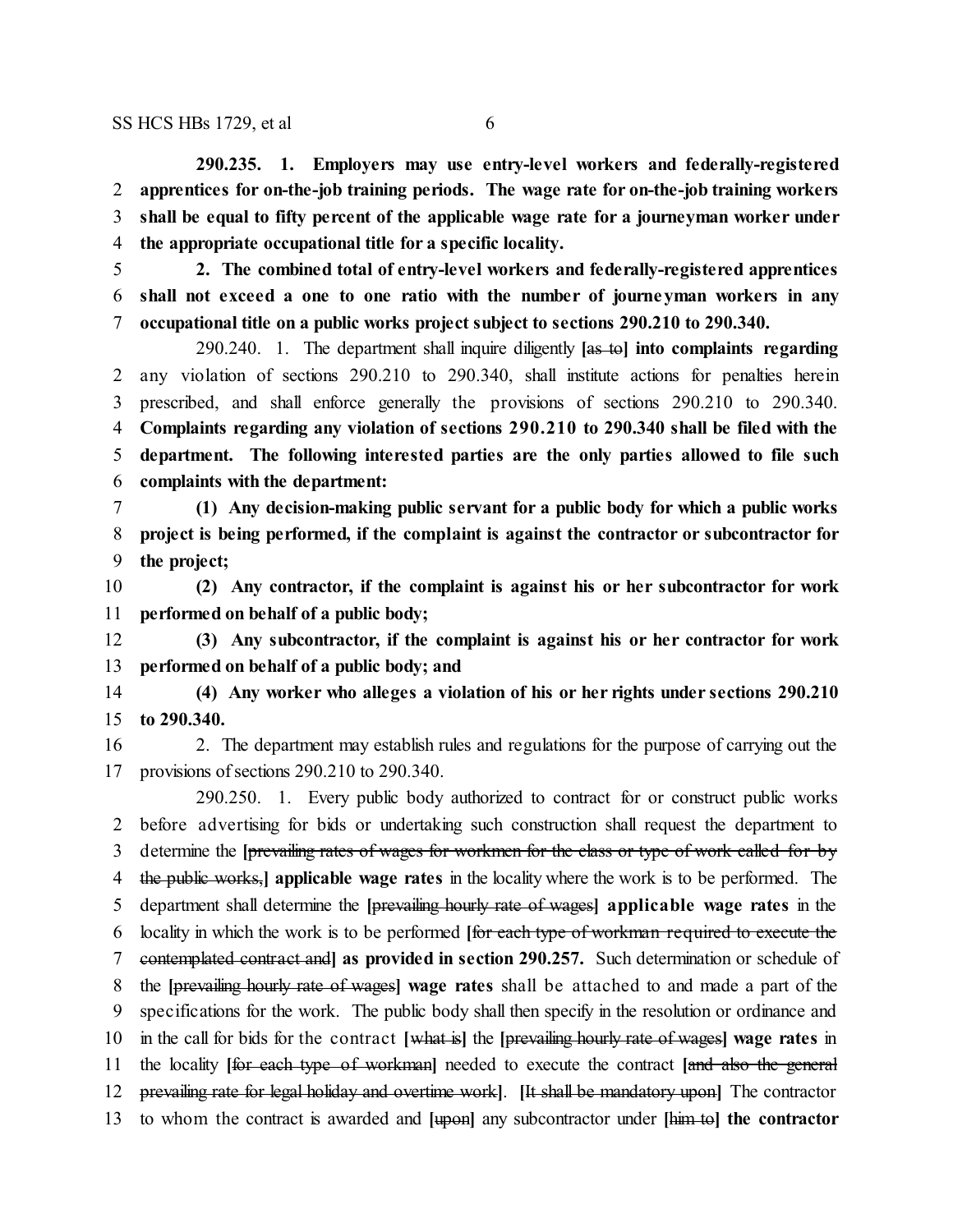**290.235. 1. Employers may use entry-level workers and federally-registered apprentices for on-the-job training periods. The wage rate for on-the-job training workers shall be equal to fifty percent of the applicable wage rate for a journeyman worker under the appropriate occupational title for a specific locality.**

 **2. The combined total of entry-level workers and federally-registered apprentices shall not exceed a one to one ratio with the number of journeyman workers in any occupational title on a public works project subject to sections 290.210 to 290.340.**

290.240. 1. The department shall inquire diligently **[**as to**] into complaints regarding** any violation of sections 290.210 to 290.340, shall institute actions for penalties herein prescribed, and shall enforce generally the provisions of sections 290.210 to 290.340. **Complaints regarding any violation of sections 290.210 to 290.340 shall be filed with the department. The following interested parties are the only parties allowed to file such complaints with the department:**

 **(1) Any decision-making public servant for a public body for which a public works project is being performed, if the complaint is against the contractor or subcontractor for the project;**

 **(2) Any contractor, if the complaint is against his or her subcontractor for work performed on behalf of a public body;**

 **(3) Any subcontractor, if the complaint is against his or her contractor for work performed on behalf of a public body; and**

 **(4) Any worker who alleges a violation of his or her rights under sections 290.210 to 290.340.**

 2. The department may establish rules and regulations for the purpose of carrying out the provisions of sections 290.210 to 290.340.

290.250. 1. Every public body authorized to contract for or construct public works before advertising for bids or undertaking such construction shall request the department to determine the **[**prevailing rates of wages for workmen for the class or type of work called for by the public works,**] applicable wage rates** in the locality where the work is to be performed. The department shall determine the **[**prevailing hourly rate of wages**] applicable wage rates** in the locality in which the work is to be performed **[**for each type of workman required to execute the contemplated contract and**] as provided in section 290.257.** Such determination or schedule of the **[**prevailing hourly rate of wages**] wage rates** shall be attached to and made a part of the specifications for the work. The public body shall then specify in the resolution or ordinance and in the call for bids for the contract **[**what is**]** the **[**prevailing hourly rate of wages**] wage rates** in the locality **[**for each type of workman**]** needed to execute the contract **[**and also the general prevailing rate for legal holiday and overtime work**]**. **[**It shall be mandatory upon**]** The contractor to whom the contract is awarded and **[**upon**]** any subcontractor under **[**him to**] the contractor**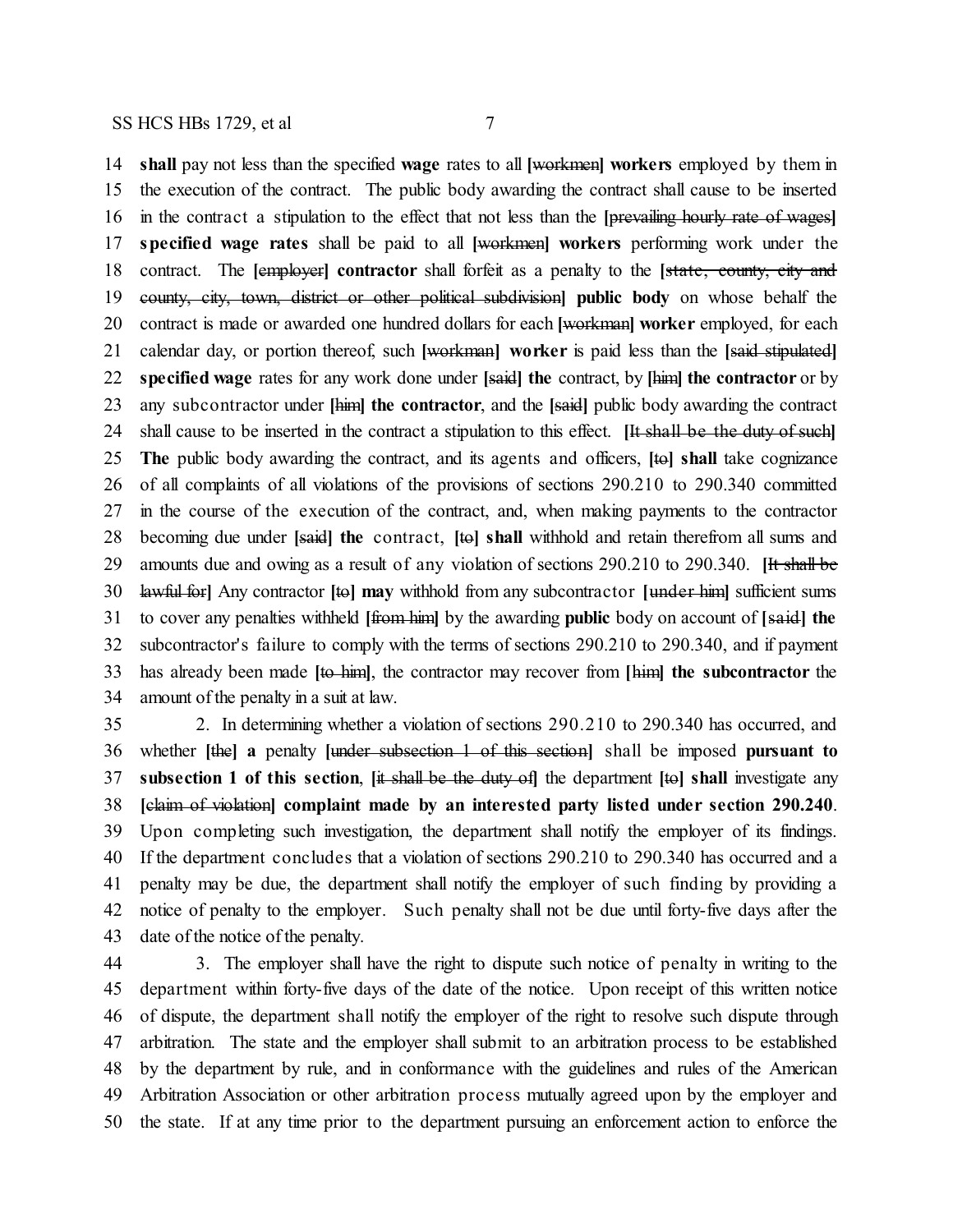**shall** pay not less than the specified **wage** rates to all **[**workmen**] workers** employed by them in the execution of the contract. The public body awarding the contract shall cause to be inserted in the contract a stipulation to the effect that not less than the **[**prevailing hourly rate of wages**] specified wage rates** shall be paid to all **[**workmen**] workers** performing work under the contract. The **[**employer**] contractor** shall forfeit as a penalty to the **[**state, county, city and county, city, town, district or other political subdivision**] public body** on whose behalf the contract is made or awarded one hundred dollars for each **[**workman**] worker** employed, for each calendar day, or portion thereof, such **[**workman**] worker** is paid less than the **[**said stipulated**] specified wage** rates for any work done under **[**said**] the** contract, by **[**him**] the contractor** or by any subcontractor under **[**him**] the contractor**, and the **[**said**]** public body awarding the contract shall cause to be inserted in the contract a stipulation to this effect. **[**It shall be the duty of such**] The** public body awarding the contract, and its agents and officers, **[**to**] shall** take cognizance of all complaints of all violations of the provisions of sections 290.210 to 290.340 committed in the course of the execution of the contract, and, when making payments to the contractor becoming due under **[**said**] the** contract, **[**to**] shall** withhold and retain therefrom all sums and amounts due and owing as a result of any violation of sections 290.210 to 290.340. **[**It shall be lawful for**]** Any contractor **[**to**] may** withhold from any subcontractor **[**under him**]** sufficient sums to cover any penalties withheld **[**from him**]** by the awarding **public** body on account of **[**said**] the** subcontractor's failure to comply with the terms of sections 290.210 to 290.340, and if payment has already been made **[**to him**]**, the contractor may recover from **[**him**] the subcontractor** the amount of the penalty in a suit at law.

 2. In determining whether a violation of sections 290.210 to 290.340 has occurred, and whether **[**the**] a** penalty **[**under subsection 1 of this section**]** shall be imposed **pursuant to subsection 1 of this section**, **[**it shall be the duty of**]** the department **[**to**] shall** investigate any **[**claim of violation**] complaint made by an interested party listed under section 290.240**. Upon completing such investigation, the department shall notify the employer of its findings. If the department concludes that a violation of sections 290.210 to 290.340 has occurred and a penalty may be due, the department shall notify the employer of such finding by providing a notice of penalty to the employer. Such penalty shall not be due until forty-five days after the date of the notice of the penalty.

 3. The employer shall have the right to dispute such notice of penalty in writing to the department within forty-five days of the date of the notice. Upon receipt of this written notice of dispute, the department shall notify the employer of the right to resolve such dispute through arbitration. The state and the employer shall submit to an arbitration process to be established by the department by rule, and in conformance with the guidelines and rules of the American Arbitration Association or other arbitration process mutually agreed upon by the employer and the state. If at any time prior to the department pursuing an enforcement action to enforce the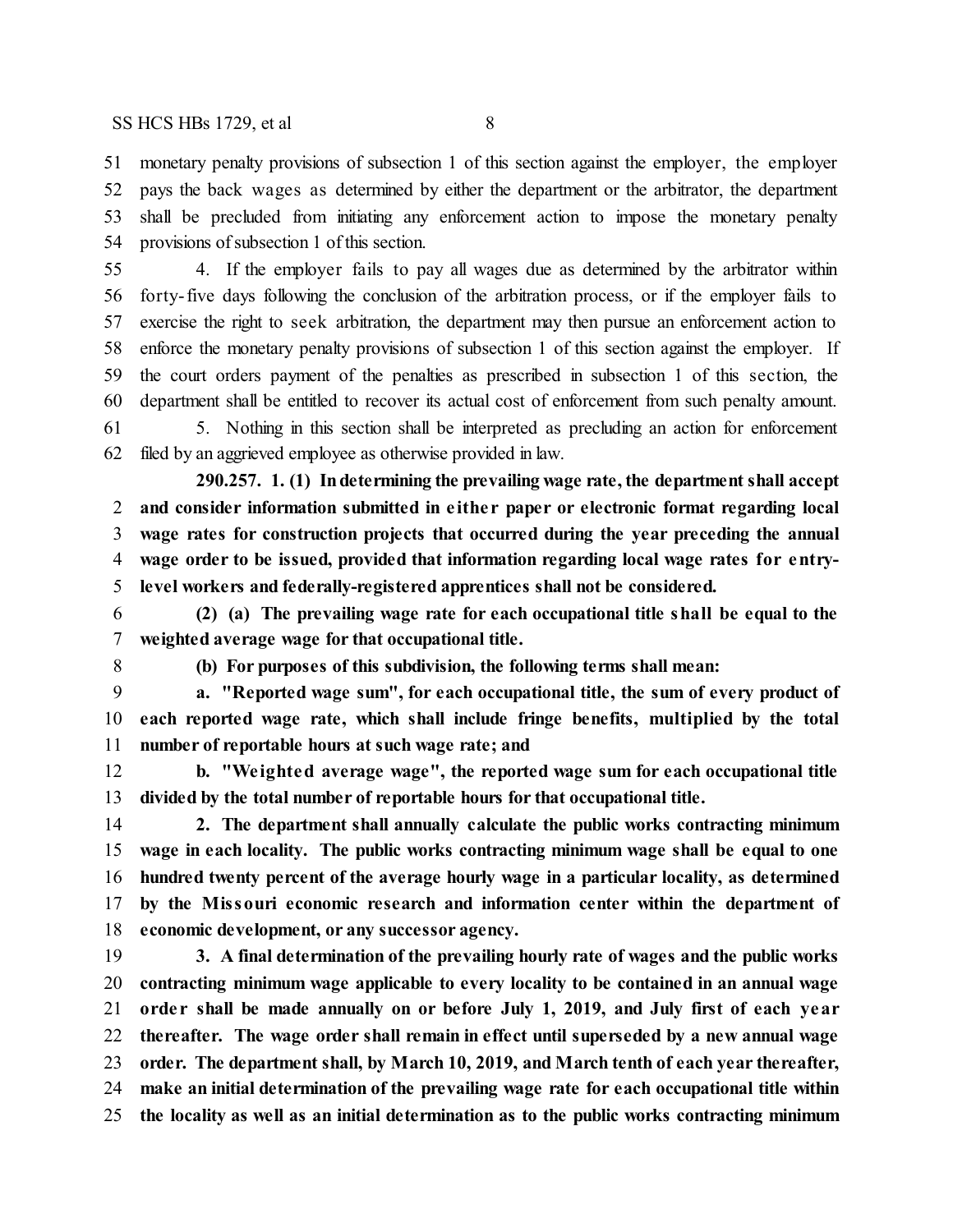### $SS HCS HBs$  1729, et al  $\qquad \qquad$ 8

 monetary penalty provisions of subsection 1 of this section against the employer, the employer pays the back wages as determined by either the department or the arbitrator, the department shall be precluded from initiating any enforcement action to impose the monetary penalty provisions of subsection 1 of this section.

 4. If the employer fails to pay all wages due as determined by the arbitrator within forty-five days following the conclusion of the arbitration process, or if the employer fails to exercise the right to seek arbitration, the department may then pursue an enforcement action to enforce the monetary penalty provisions of subsection 1 of this section against the employer. If the court orders payment of the penalties as prescribed in subsection 1 of this section, the department shall be entitled to recover its actual cost of enforcement from such penalty amount.

 5. Nothing in this section shall be interpreted as precluding an action for enforcement filed by an aggrieved employee as otherwise provided in law.

**290.257. 1. (1) Indetermining the prevailing wage rate, the department shall accept and consider information submitted in e ithe r paper or electronic format regarding local wage rates for construction projects that occurred during the year preceding the annual wage order to be issued, provided that information regarding local wage rates for entry-level workers and federally-registered apprentices shall not be considered.**

 **(2) (a) The prevailing wage rate for each occupational title shall be equal to the weighted average wage for that occupational title.**

**(b) For purposes of this subdivision, the following terms shall mean:**

 **a. "Reported wage sum", for each occupational title, the sum of every product of each reported wage rate, which shall include fringe benefits, multiplied by the total number of reportable hours at such wage rate; and**

 **b. "We ighted average wage", the reported wage sum for each occupational title divided by the total number of reportable hours for that occupational title.**

 **2. The department shall annually calculate the public works contracting minimum wage in each locality. The public works contracting minimum wage shall be equal to one hundred twenty percent of the average hourly wage in a particular locality, as determined by the Missouri economic research and information center within the department of economic development, or any successor agency.**

 **3. A final determination of the prevailing hourly rate of wages and the public works contracting minimum wage applicable to every locality to be contained in an annual wage orde r shall be made annually on or before July 1, 2019, and July first of each year thereafter. The wage order shall remain in effect until superseded by a new annual wage order. The department shall, by March 10, 2019, and March tenth of each year thereafter, make an initial determination of the prevailing wage rate for each occupational title within the locality as well as an initial determination as to the public works contracting minimum**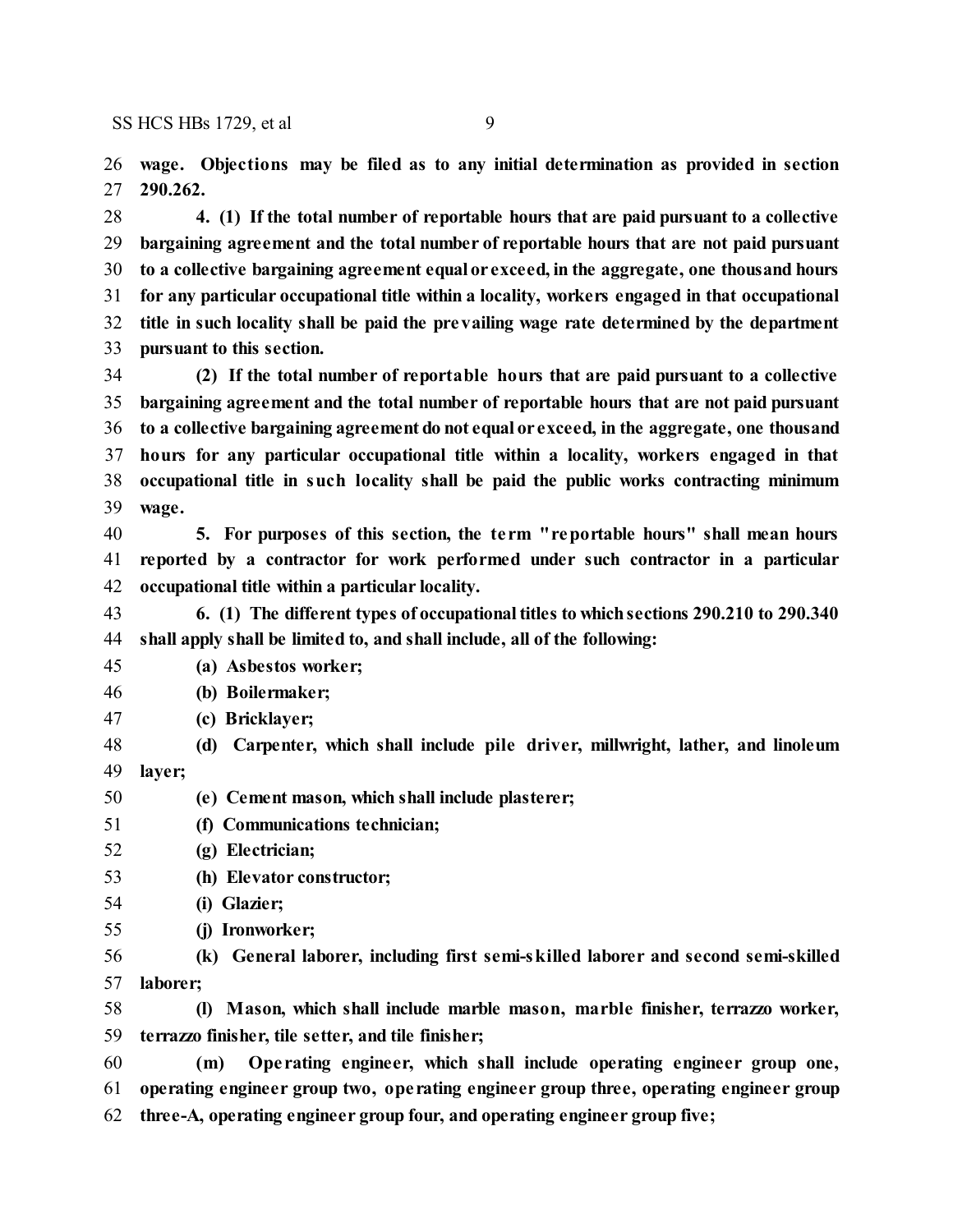**wage. Objections may be filed as to any initial determination as provided in section 290.262.**

 **4. (1) If the total number of reportable hours that are paid pursuant to a collective bargaining agreement and the total number of reportable hours that are not paid pursuant to a collective bargaining agreement equal or exceed, in the aggregate, one thousand hours for any particular occupational title within a locality, workers engaged in that occupational title in such locality shall be paid the prevailing wage rate determined by the department pursuant to this section.**

 **(2) If the total number of reportable hours that are paid pursuant to a collective bargaining agreement and the total number of reportable hours that are not paid pursuant to a collective bargaining agreement do not equal or exceed, in the aggregate, one thousand hours for any particular occupational title within a locality, workers engaged in that occupational title in such locality shall be paid the public works contracting minimum wage.**

 **5. For purposes of this section, the te rm "reportable hours" shall mean hours reported by a contractor for work performed under such contractor in a particular occupational title within a particular locality.**

 **6. (1) The different types of occupationaltitles to whichsections 290.210 to 290.340 shall apply shall be limited to, and shall include, all of the following:**

- **(a) Asbestos worker;**
- **(b) Boilermaker;**
- **(c) Bricklayer;**

 **(d) Carpenter, which shall include pile driver, millwright, lather, and linoleum layer;**

**(e) Cement mason, which shall include plasterer;**

- **(f) Communications technician;**
- **(g) Electrician;**
- **(h) Elevator constructor;**
- **(i) Glazier;**
- **(j) Ironworker;**

 **(k) General laborer, including first semi-skilled laborer and second semi-skilled laborer;**

 **(l) Mason, which shall include marble mason, marble finisher, terrazzo worker, terrazzo finisher, tile setter, and tile finisher;**

 **(m) Ope rating engineer, which shall include operating engineer group one, operating engineer group two, ope rating engineer group three, operating engineer group three-A, operating engineer group four, and operating engineer group five;**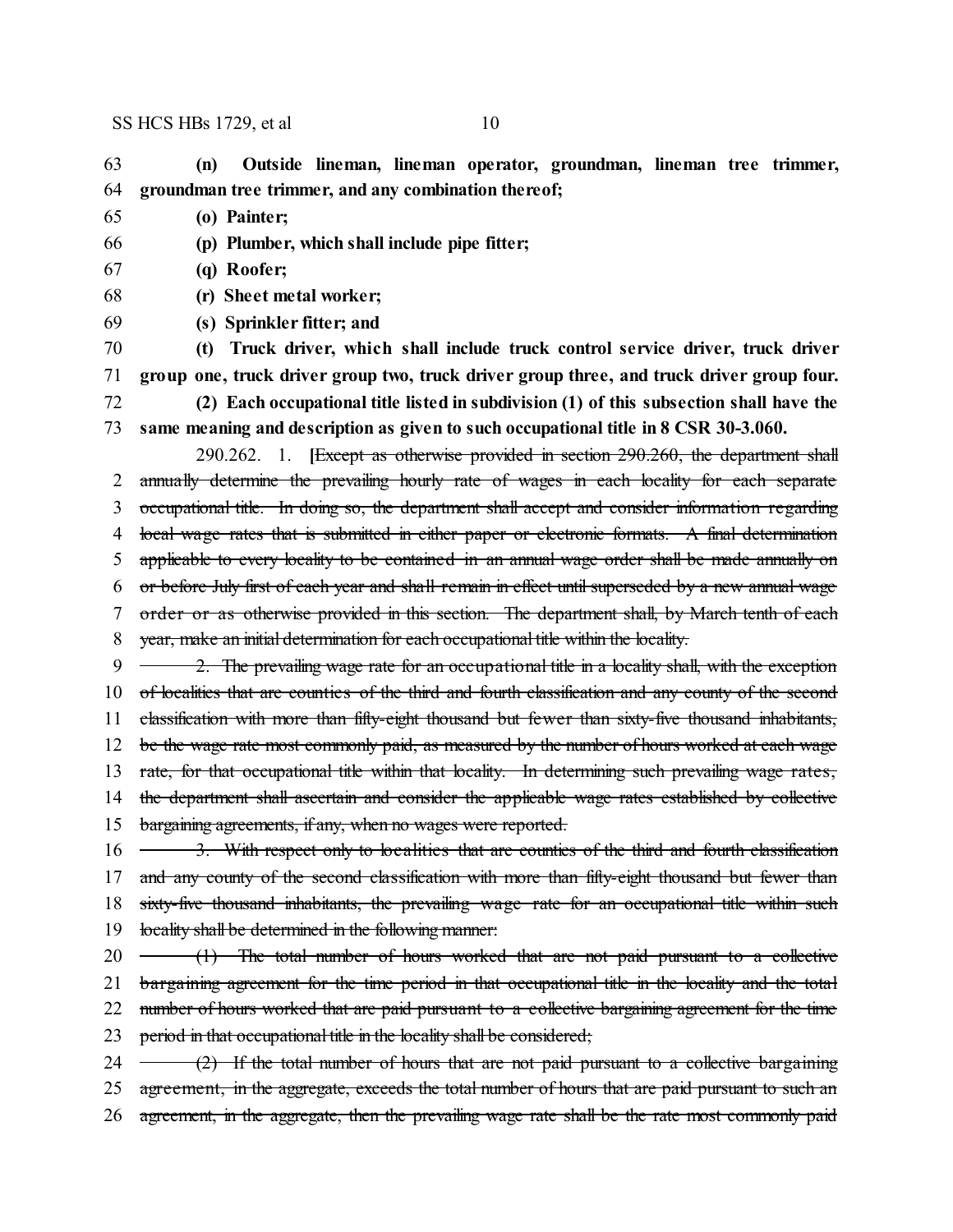63 **(n) Outside lineman, lineman operator, groundman, lineman tree trimmer,** 64 **groundman tree trimmer, and any combination thereof;**

- 65 **(o) Painter;**
- 66 **(p) Plumber, which shall include pipe fitter;**
- 67 **(q) Roofer;**
- 68 **(r) Sheet metal worker;**
- 69 **(s) Sprinkler fitter; and**
- 70 **(t) Truck driver, which shall include truck control service driver, truck driver** 71 **group one, truck driver group two, truck driver group three, and truck driver group four.** 72 **(2) Each occupational title listed in subdivision (1) of this subsection shall have the**
- 73 **same meaning and description as given to such occupational title in 8 CSR 30-3.060.**

290.262. 1. **[**Except as otherwise provided in section 290.260, the department shall 2 annually determine the prevailing hourly rate of wages in each locality for each separate occupational title. In doing so, the department shall accept and consider information regarding local wage rates that is submitted in either paper or electronic formats. A final determination applicable to every locality to be contained in an annual wage order shall be made annually on or before July first of each year and shall remain in effect until superseded by a new annual wage order or as otherwise provided in this section. The department shall, by March tenth of each

8 year, make an initial determination for each occupational title within the locality.

9 <del>2. The prevailing wage rate for an occupational title in a locality shall, with the exception</del> 10 of localities that are counties of the third and fourth classification and any county of the second 11 classification with more than fifty-eight thousand but fewer than sixty-five thousand inhabitants, 12 be the wage rate most commonly paid, as measured by the number of hours worked at each wage 13 rate, for that occupational title within that locality. In determining such prevailing wage rates, 14 the department shall ascertain and consider the applicable wage rates established by collective 15 bargaining agreements, if any, when no wages were reported.

16 3. With respect only to localities that are counties of the third and fourth classification 17 and any county of the second classification with more than fifty-eight thousand but fewer than 18 sixty-five thousand inhabitants, the prevailing wage rate for an occupational title within such 19 locality shall be determined in the following manner:

- $20 \leftarrow$  (1) The total number of hours worked that are not paid pursuant to a collective 21 bargaining agreement for the time period in that occupational title in the locality and the total 22 number of hours worked that are paid pursuant to a collective bargaining agreement for the time 23 period in that occupational title in the locality shall be considered;
- 24  $\rightarrow$  (2) If the total number of hours that are not paid pursuant to a collective bargaining 25 agreement, in the aggregate, exceeds the total number of hours that are paid pursuant to such an 26 agreement, in the aggregate, then the prevailing wage rate shall be the rate most commonly paid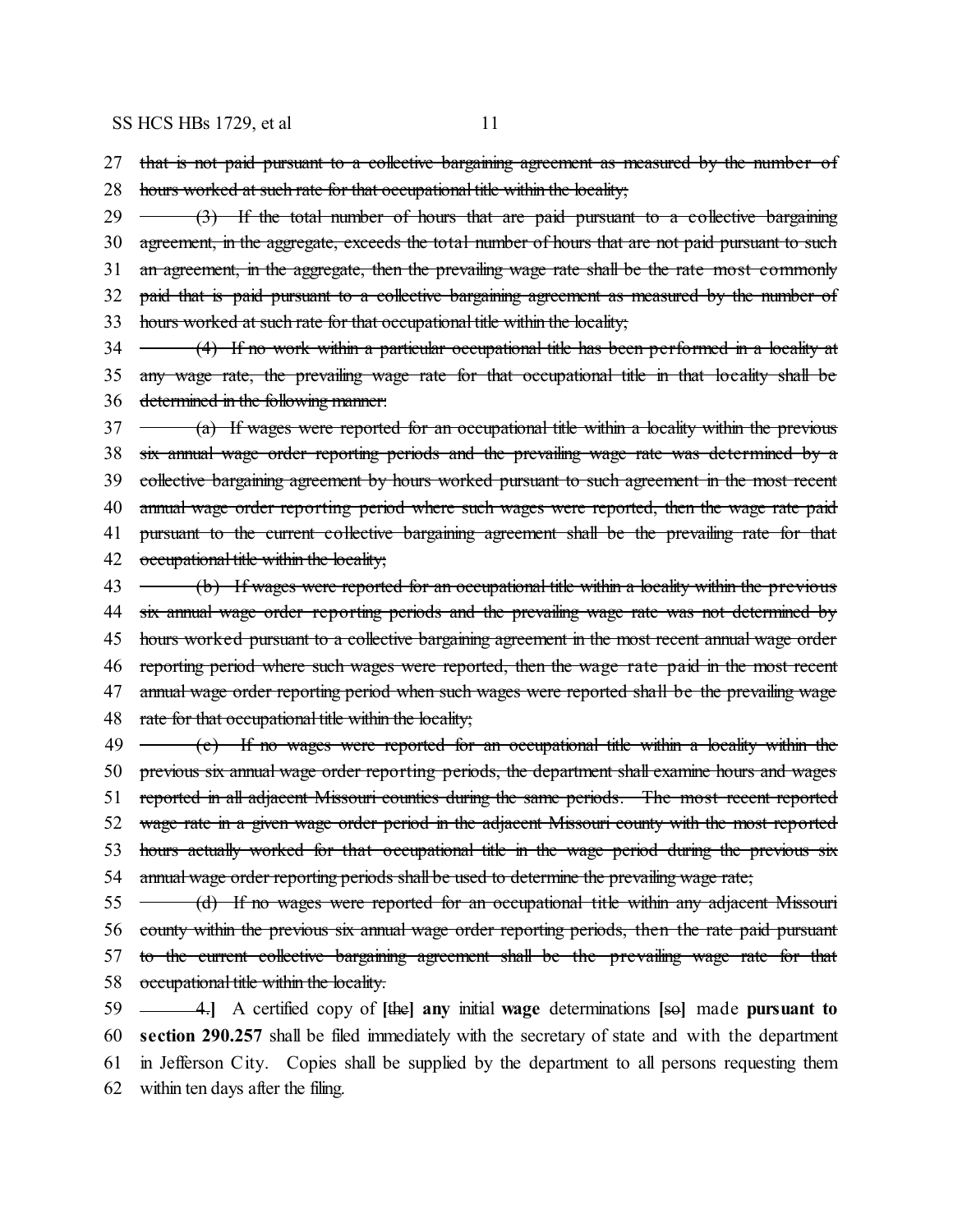27 that is not paid pursuant to a collective bargaining agreement as measured by the number of 28 hours worked at such rate for that occupational title within the locality;

 $29 \leftarrow (3)$  If the total number of hours that are paid pursuant to a collective bargaining 30 agreement, in the aggregate, exceeds the total number of hours that are not paid pursuant to such 31 an agreement, in the aggregate, then the prevailing wage rate shall be the rate most commonly 32 paid that is paid pursuant to a collective bargaining agreement as measured by the number of 33 hours worked at such rate for that occupational title within the locality; 34 (4) If no work within a particular occupational title has been performed in a locality at 35 any wage rate, the prevailing wage rate for that occupational title in that locality shall be 36 determined in the following manner:  $37 \leftarrow$  (a) If wages were reported for an occupational title within a locality within the previous 38 six annual wage order reporting periods and the prevailing wage rate was determined by a 39 collective bargaining agreement by hours worked pursuant to such agreement in the most recent 40 annual wage order reporting period where such wages were reported, then the wage rate paid 41 pursuant to the current collective bargaining agreement shall be the prevailing rate for that 42 occupational title within the locality;  $43 \leftarrow$  (b) If wages were reported for an occupational title within a locality within the previous 44 six annual wage order reporting periods and the prevailing wage rate was not determined by 45 hours worked pursuant to a collective bargaining agreement in the most recent annual wage order 46 reporting period where such wages were reported, then the wage rate paid in the most recent 47 annual wage order reporting period when such wages were reported shall be the prevailing wage 48 rate for that occupational title within the locality;  $49 \leftarrow$  (c) If no wages were reported for an occupational title within a locality within the 50 previous six annual wage order reporting periods, the department shall examine hours and wages 51 reported in all adjacent Missouri counties during the same periods. The most recent reported 52 wage rate in a given wage order period in the adjacent Missouri county with the most reported 53 hours actually worked for that occupational title in the wage period during the previous six

54 annual wage order reporting periods shall be used to determine the prevailing wage rate;

55 (d) If no wages were reported for an occupational title within any adjacent Missouri 56 county within the previous six annual wage order reporting periods, then the rate paid pursuant 57 to the current collective bargaining agreement shall be the prevailing wage rate for that 58 occupational title within the locality.

 4.**]** A certified copy of **[**the**] any** initial **wage** determinations **[**so**]** made **pursuant to section 290.257** shall be filed immediately with the secretary of state and with the department in Jefferson City. Copies shall be supplied by the department to all persons requesting them within ten days after the filing.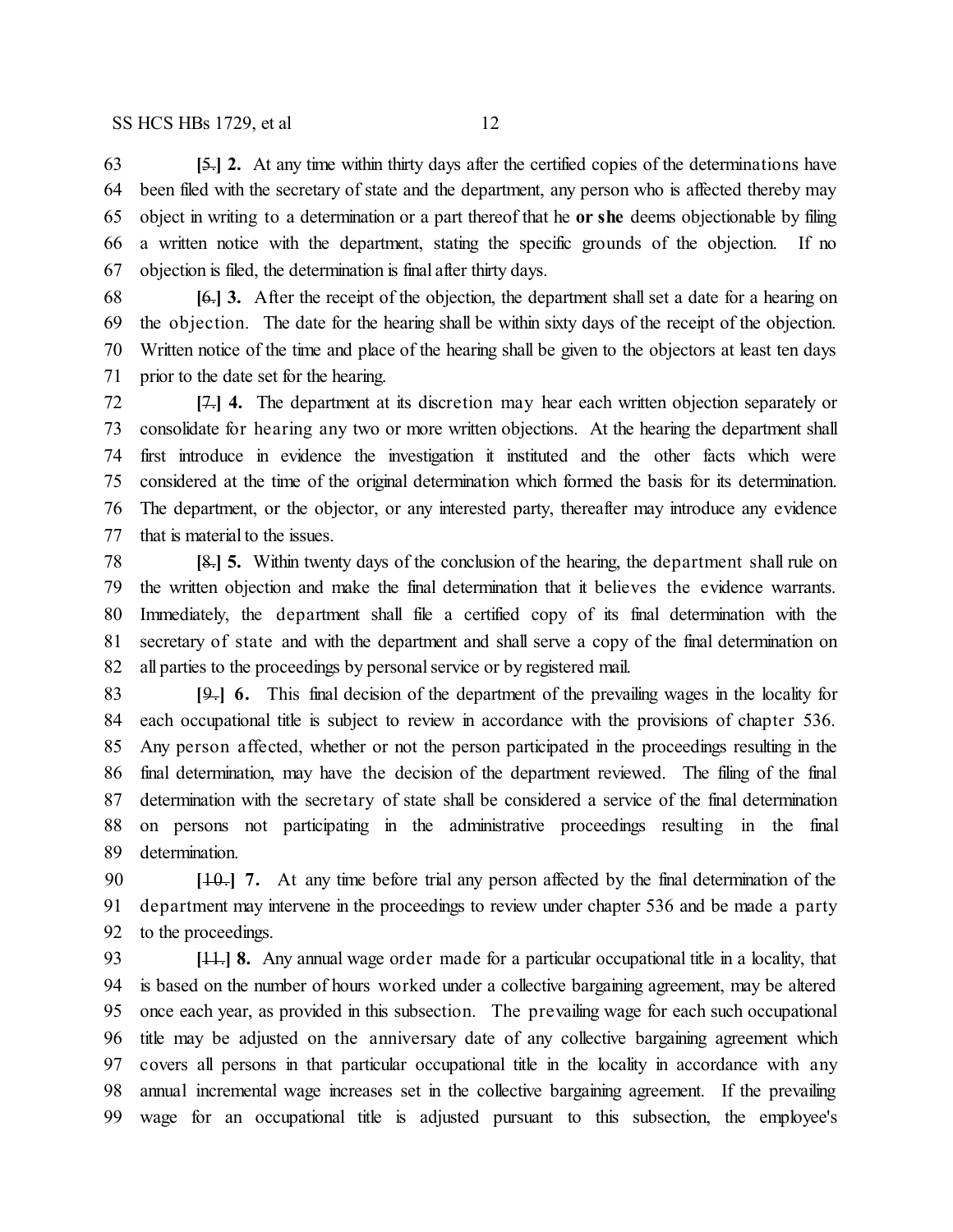**[**5.**] 2.** At any time within thirty days after the certified copies of the determinations have been filed with the secretary of state and the department, any person who is affected thereby may object in writing to a determination or a part thereof that he **or she** deems objectionable by filing a written notice with the department, stating the specific grounds of the objection. If no objection is filed, the determination is final after thirty days.

 **[**6.**] 3.** After the receipt of the objection, the department shall set a date for a hearing on the objection. The date for the hearing shall be within sixty days of the receipt of the objection. Written notice of the time and place of the hearing shall be given to the objectors at least ten days prior to the date set for the hearing.

 **[**7.**] 4.** The department at its discretion may hear each written objection separately or consolidate for hearing any two or more written objections. At the hearing the department shall first introduce in evidence the investigation it instituted and the other facts which were considered at the time of the original determination which formed the basis for its determination. The department, or the objector, or any interested party, thereafter may introduce any evidence that is material to the issues.

 **[**8.**] 5.** Within twenty days of the conclusion of the hearing, the department shall rule on the written objection and make the final determination that it believes the evidence warrants. Immediately, the department shall file a certified copy of its final determination with the secretary of state and with the department and shall serve a copy of the final determination on all parties to the proceedings by personal service or by registered mail.

 **[**9.**] 6.** This final decision of the department of the prevailing wages in the locality for each occupational title is subject to review in accordance with the provisions of chapter 536. Any person affected, whether or not the person participated in the proceedings resulting in the final determination, may have the decision of the department reviewed. The filing of the final determination with the secretary of state shall be considered a service of the final determination on persons not participating in the administrative proceedings resulting in the final determination.

 **[**10.**] 7.** At any time before trial any person affected by the final determination of the department may intervene in the proceedings to review under chapter 536 and be made a party to the proceedings.

 **[**11.**] 8.** Any annual wage order made for a particular occupational title in a locality, that is based on the number of hours worked under a collective bargaining agreement, may be altered once each year, as provided in this subsection. The prevailing wage for each such occupational title may be adjusted on the anniversary date of any collective bargaining agreement which covers all persons in that particular occupational title in the locality in accordance with any annual incremental wage increases set in the collective bargaining agreement. If the prevailing wage for an occupational title is adjusted pursuant to this subsection, the employee's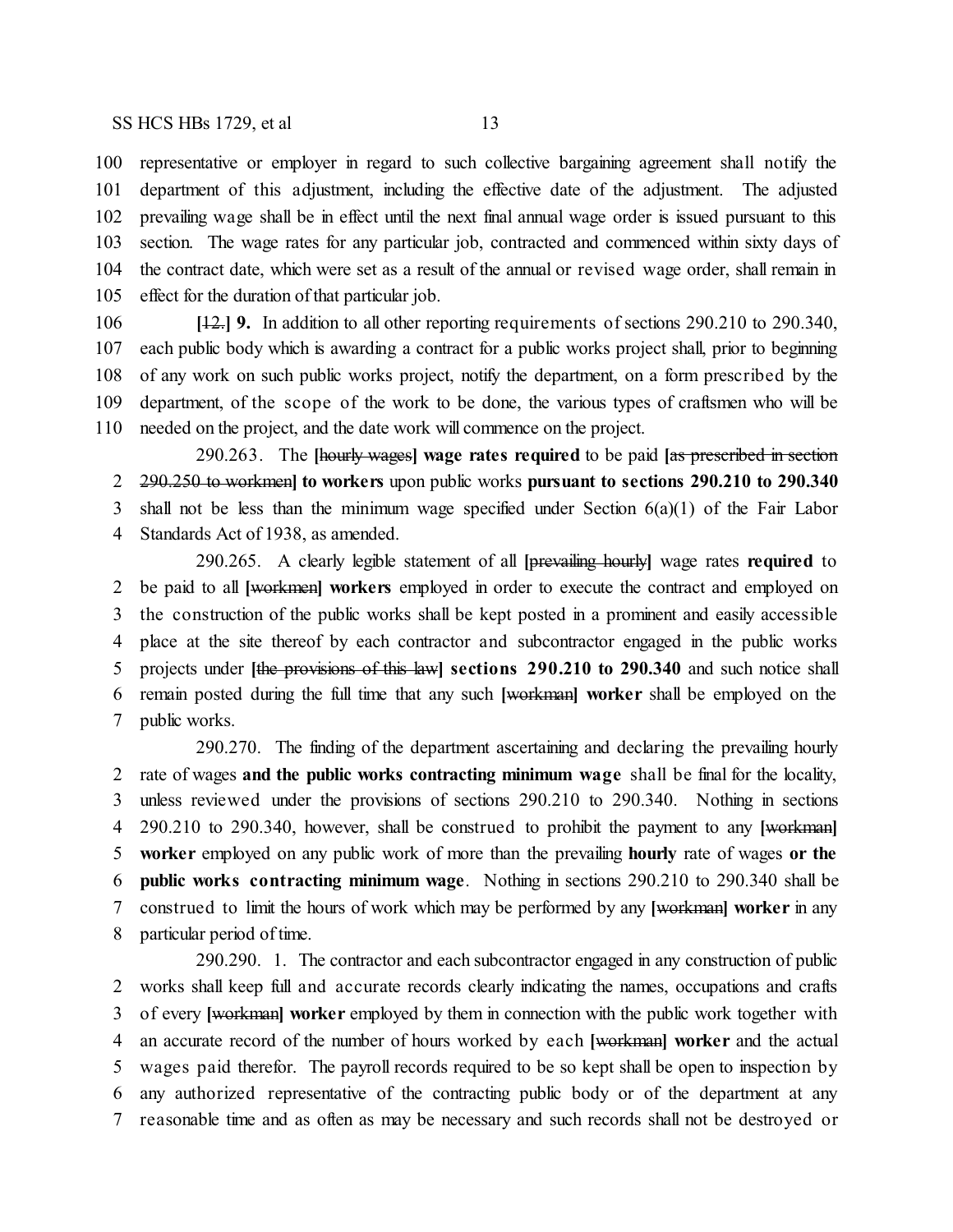representative or employer in regard to such collective bargaining agreement shall notify the department of this adjustment, including the effective date of the adjustment. The adjusted prevailing wage shall be in effect until the next final annual wage order is issued pursuant to this section. The wage rates for any particular job, contracted and commenced within sixty days of the contract date, which were set as a result of the annual or revised wage order, shall remain in effect for the duration of that particular job.

 **[**12.**] 9.** In addition to all other reporting requirements of sections 290.210 to 290.340, each public body which is awarding a contract for a public works project shall, prior to beginning of any work on such public works project, notify the department, on a form prescribed by the department, of the scope of the work to be done, the various types of craftsmen who will be needed on the project, and the date work will commence on the project.

290.263. The **[**hourly wages**] wage rates required** to be paid **[**as prescribed in section 290.250 to workmen**] to workers** upon public works **pursuant to sections 290.210 to 290.340** 3 shall not be less than the minimum wage specified under Section  $6(a)(1)$  of the Fair Labor Standards Act of 1938, as amended.

290.265. A clearly legible statement of all **[**prevailing hourly**]** wage rates **required** to be paid to all **[**workmen**] workers** employed in order to execute the contract and employed on the construction of the public works shall be kept posted in a prominent and easily accessible place at the site thereof by each contractor and subcontractor engaged in the public works projects under **[**the provisions of this law**] sections 290.210 to 290.340** and such notice shall remain posted during the full time that any such **[**workman**] worker** shall be employed on the public works.

290.270. The finding of the department ascertaining and declaring the prevailing hourly rate of wages **and the public works contracting minimum wage** shall be final for the locality, unless reviewed under the provisions of sections 290.210 to 290.340. Nothing in sections 290.210 to 290.340, however, shall be construed to prohibit the payment to any **[**workman**] worker** employed on any public work of more than the prevailing **hourly** rate of wages **or the public works contracting minimum wage**. Nothing in sections 290.210 to 290.340 shall be construed to limit the hours of work which may be performed by any **[**workman**] worker** in any particular period of time.

290.290. 1. The contractor and each subcontractor engaged in any construction of public works shall keep full and accurate records clearly indicating the names, occupations and crafts of every **[**workman**] worker** employed by them in connection with the public work together with an accurate record of the number of hours worked by each **[**workman**] worker** and the actual wages paid therefor. The payroll records required to be so kept shall be open to inspection by any authorized representative of the contracting public body or of the department at any reasonable time and as often as may be necessary and such records shall not be destroyed or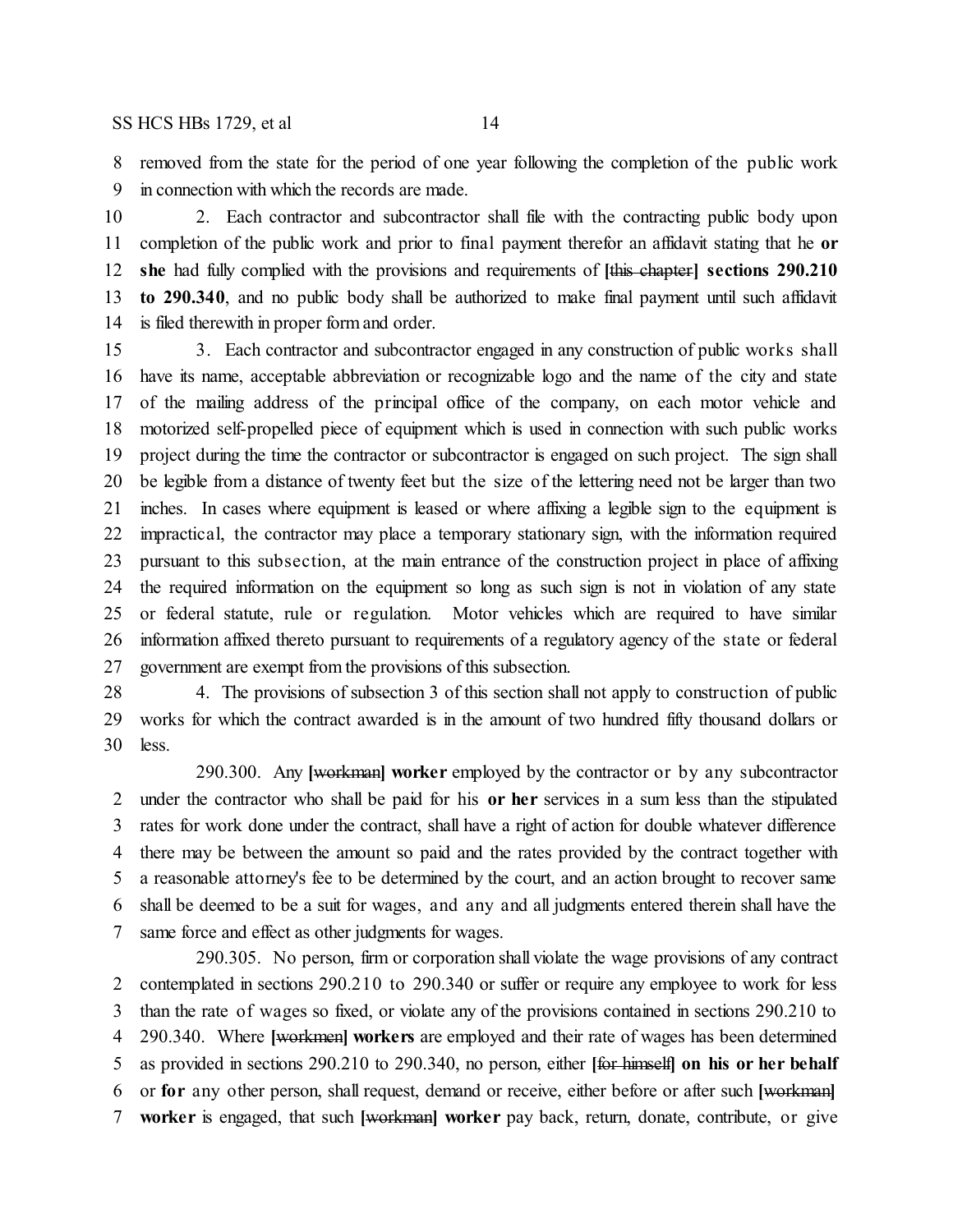removed from the state for the period of one year following the completion of the public work in connection with which the records are made.

 2. Each contractor and subcontractor shall file with the contracting public body upon completion of the public work and prior to final payment therefor an affidavit stating that he **or she** had fully complied with the provisions and requirements of **[**this chapter**] sections 290.210 to 290.340**, and no public body shall be authorized to make final payment until such affidavit is filed therewith in proper formand order.

 3. Each contractor and subcontractor engaged in any construction of public works shall have its name, acceptable abbreviation or recognizable logo and the name of the city and state of the mailing address of the principal office of the company, on each motor vehicle and motorized self-propelled piece of equipment which is used in connection with such public works project during the time the contractor or subcontractor is engaged on such project. The sign shall be legible from a distance of twenty feet but the size of the lettering need not be larger than two inches. In cases where equipment is leased or where affixing a legible sign to the equipment is impractical, the contractor may place a temporary stationary sign, with the information required pursuant to this subsection, at the main entrance of the construction project in place of affixing the required information on the equipment so long as such sign is not in violation of any state or federal statute, rule or regulation. Motor vehicles which are required to have similar information affixed thereto pursuant to requirements of a regulatory agency of the state or federal government are exempt from the provisions of this subsection.

 4. The provisions of subsection 3 of this section shall not apply to construction of public works for which the contract awarded is in the amount of two hundred fifty thousand dollars or less.

290.300. Any **[**workman**] worker** employed by the contractor or by any subcontractor under the contractor who shall be paid for his **or her** services in a sum less than the stipulated rates for work done under the contract, shall have a right of action for double whatever difference there may be between the amount so paid and the rates provided by the contract together with a reasonable attorney's fee to be determined by the court, and an action brought to recover same shall be deemed to be a suit for wages, and any and all judgments entered therein shall have the same force and effect as other judgments for wages.

290.305. No person, firm or corporation shall violate the wage provisions of any contract contemplated in sections 290.210 to 290.340 or suffer or require any employee to work for less than the rate of wages so fixed, or violate any of the provisions contained in sections 290.210 to 290.340. Where **[**workmen**] workers** are employed and their rate of wages has been determined as provided in sections 290.210 to 290.340, no person, either **[**for himself**] on his or her behalf** or **for** any other person, shall request, demand or receive, either before or after such **[**workman**] worker** is engaged, that such **[**workman**] worker** pay back, return, donate, contribute, or give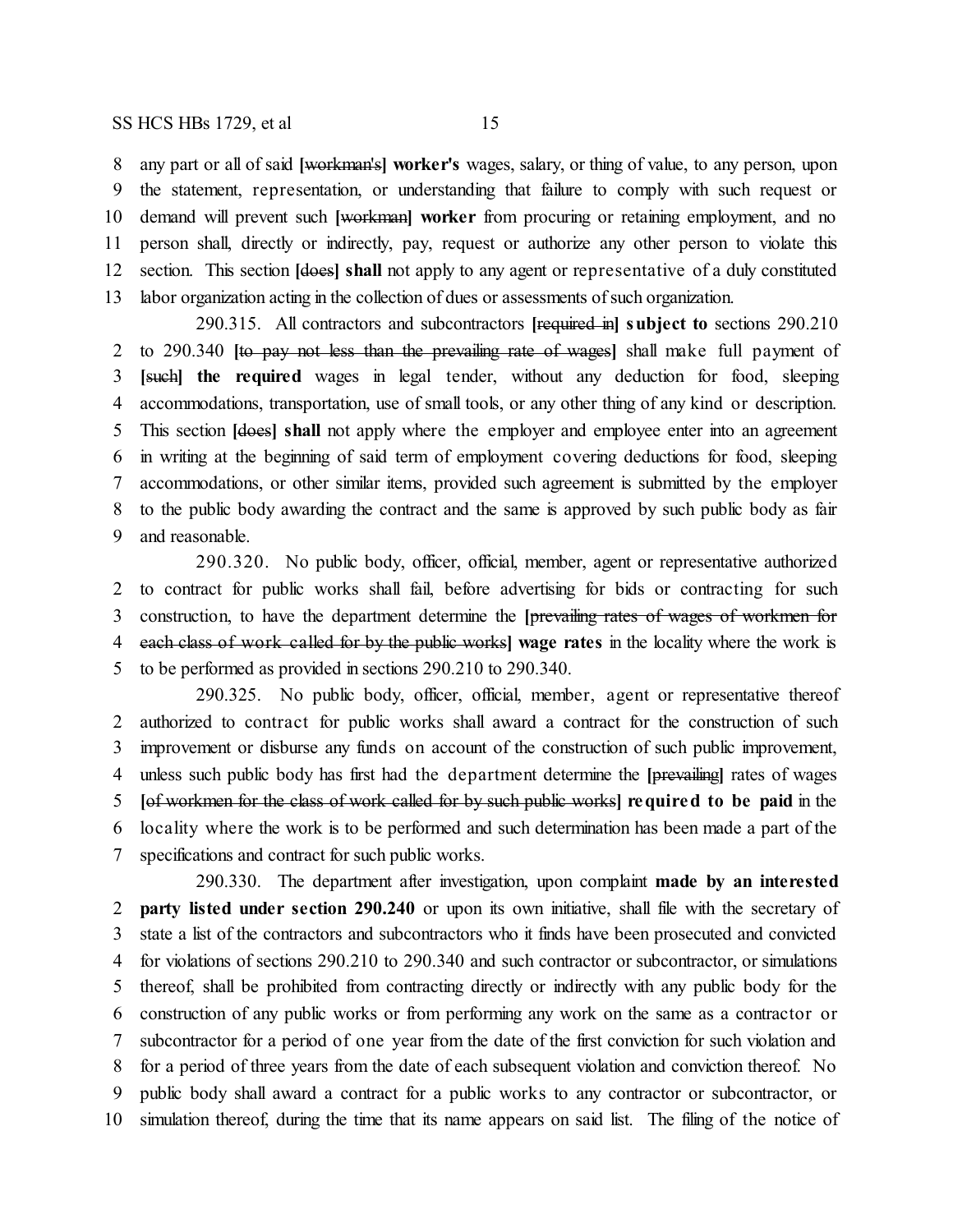any part or all of said **[**workman's**] worker's** wages, salary, or thing of value, to any person, upon the statement, representation, or understanding that failure to comply with such request or demand will prevent such **[**workman**] worker** from procuring or retaining employment, and no person shall, directly or indirectly, pay, request or authorize any other person to violate this section. This section **[**does**] shall** not apply to any agent or representative of a duly constituted labor organization acting in the collection of dues or assessments of such organization.

290.315. All contractors and subcontractors **[**required in**] subject to** sections 290.210 to 290.340 **[**to pay not less than the prevailing rate of wages**]** shall make full payment of **[**such**] the required** wages in legal tender, without any deduction for food, sleeping accommodations, transportation, use of small tools, or any other thing of any kind or description. This section **[**does**] shall** not apply where the employer and employee enter into an agreement in writing at the beginning of said term of employment covering deductions for food, sleeping accommodations, or other similar items, provided such agreement is submitted by the employer to the public body awarding the contract and the same is approved by such public body as fair and reasonable.

290.320. No public body, officer, official, member, agent or representative authorized to contract for public works shall fail, before advertising for bids or contracting for such construction, to have the department determine the **[**prevailing rates of wages of workmen for each class of work called for by the public works**] wage rates** in the locality where the work is to be performed as provided in sections 290.210 to 290.340.

290.325. No public body, officer, official, member, agent or representative thereof authorized to contract for public works shall award a contract for the construction of such improvement or disburse any funds on account of the construction of such public improvement, unless such public body has first had the department determine the **[**prevailing**]** rates of wages **[**of workmen for the class of work called for by such public works**] required to be paid** in the locality where the work is to be performed and such determination has been made a part of the specifications and contract for such public works.

290.330. The department after investigation, upon complaint **made by an interested party listed under section 290.240** or upon its own initiative, shall file with the secretary of state a list of the contractors and subcontractors who it finds have been prosecuted and convicted for violations of sections 290.210 to 290.340 and such contractor or subcontractor, or simulations thereof, shall be prohibited from contracting directly or indirectly with any public body for the construction of any public works or from performing any work on the same as a contractor or subcontractor for a period of one year from the date of the first conviction for such violation and for a period of three years from the date of each subsequent violation and conviction thereof. No public body shall award a contract for a public works to any contractor or subcontractor, or simulation thereof, during the time that its name appears on said list. The filing of the notice of